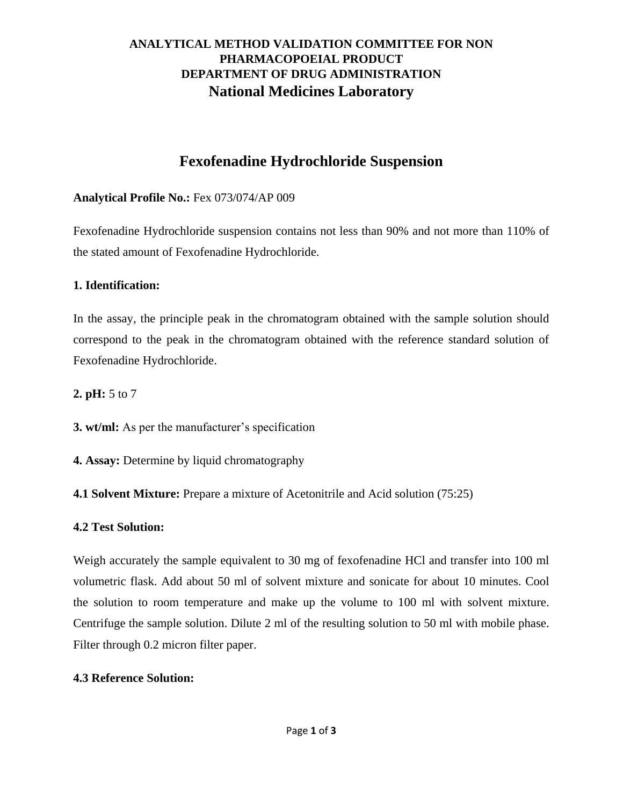# **ANALYTICAL METHOD VALIDATION COMMITTEE FOR NON PHARMACOPOEIAL PRODUCT DEPARTMENT OF DRUG ADMINISTRATION National Medicines Laboratory**

# **Fexofenadine Hydrochloride Suspension**

### **Analytical Profile No.:** Fex 073/074/AP 009

Fexofenadine Hydrochloride suspension contains not less than 90% and not more than 110% of the stated amount of Fexofenadine Hydrochloride.

### **1. Identification:**

In the assay, the principle peak in the chromatogram obtained with the sample solution should correspond to the peak in the chromatogram obtained with the reference standard solution of Fexofenadine Hydrochloride.

**2. pH:** 5 to 7

**3. wt/ml:** As per the manufacturer's specification

**4. Assay:** Determine by liquid chromatography

**4.1 Solvent Mixture:** Prepare a mixture of Acetonitrile and Acid solution (75:25)

### **4.2 Test Solution:**

Weigh accurately the sample equivalent to 30 mg of fexofenadine HCl and transfer into 100 ml volumetric flask. Add about 50 ml of solvent mixture and sonicate for about 10 minutes. Cool the solution to room temperature and make up the volume to 100 ml with solvent mixture. Centrifuge the sample solution. Dilute 2 ml of the resulting solution to 50 ml with mobile phase. Filter through 0.2 micron filter paper.

### **4.3 Reference Solution:**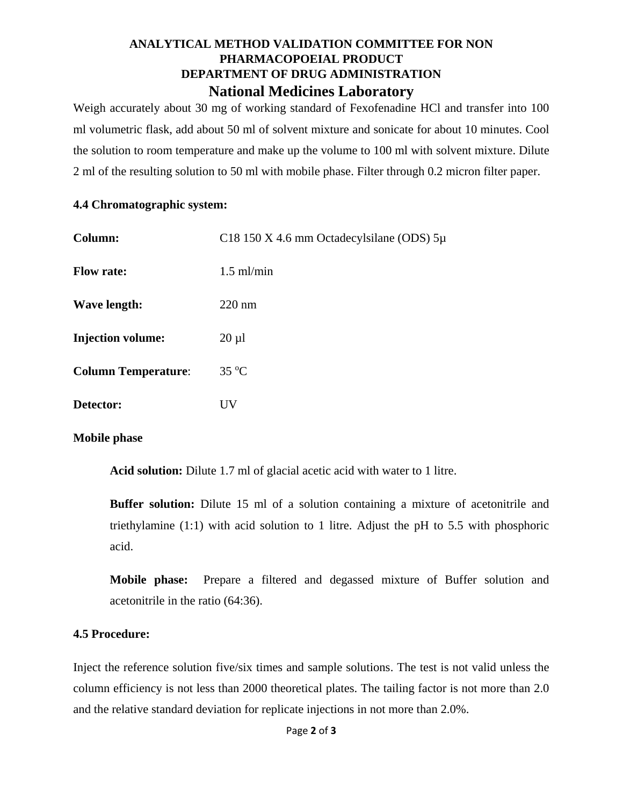### **ANALYTICAL METHOD VALIDATION COMMITTEE FOR NON PHARMACOPOEIAL PRODUCT DEPARTMENT OF DRUG ADMINISTRATION National Medicines Laboratory**

Weigh accurately about 30 mg of working standard of Fexofenadine HCl and transfer into 100 ml volumetric flask, add about 50 ml of solvent mixture and sonicate for about 10 minutes. Cool the solution to room temperature and make up the volume to 100 ml with solvent mixture. Dilute 2 ml of the resulting solution to 50 ml with mobile phase. Filter through 0.2 micron filter paper.

#### **4.4 Chromatographic system:**

| Column:                    | C18 150 X 4.6 mm Octadecylsilane (ODS) $5\mu$ |
|----------------------------|-----------------------------------------------|
| <b>Flow rate:</b>          | $1.5$ ml/min                                  |
| Wave length:               | $220 \text{ nm}$                              |
| <b>Injection volume:</b>   | $20 \mu l$                                    |
| <b>Column Temperature:</b> | $35^{\circ}$ C                                |
| Detector:                  | UV                                            |

### **Mobile phase**

**Acid solution:** Dilute 1.7 ml of glacial acetic acid with water to 1 litre.

**Buffer solution:** Dilute 15 ml of a solution containing a mixture of acetonitrile and triethylamine (1:1) with acid solution to 1 litre. Adjust the pH to 5.5 with phosphoric acid.

**Mobile phase:** Prepare a filtered and degassed mixture of Buffer solution and acetonitrile in the ratio (64:36).

### **4.5 Procedure:**

Inject the reference solution five/six times and sample solutions. The test is not valid unless the column efficiency is not less than 2000 theoretical plates. The tailing factor is not more than 2.0 and the relative standard deviation for replicate injections in not more than 2.0%.